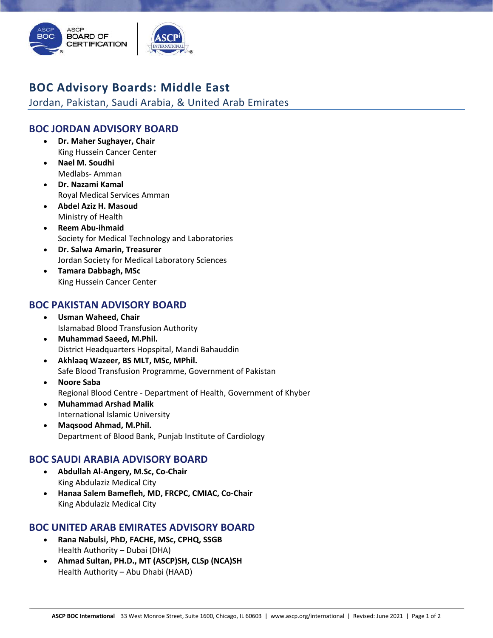

# **BOC Advisory Boards: Middle East**

Jordan, Pakistan, Saudi Arabia, & United Arab Emirates

# **BOC JORDAN ADVISORY BOARD**

- **Dr. Maher Sughayer, Chair** King Hussein Cancer Center
- **Nael M. Soudhi** Medlabs‐ Amman
- **Dr. Nazami Kamal** Royal Medical Services Amman
- **Abdel Aziz H. Masoud** Ministry of Health
- **Reem Abu‐ihmaid**  Society for Medical Technology and Laboratories
- **Dr. Salwa Amarin, Treasurer**  Jordan Society for Medical Laboratory Sciences
- **Tamara Dabbagh, MSc**  King Hussein Cancer Center

### **BOC PAKISTAN ADVISORY BOARD**

- **Usman Waheed, Chair** Islamabad Blood Transfusion Authority
- **Muhammad Saeed, M.Phil.**  District Headquarters Hopspital, Mandi Bahauddin
- **Akhlaaq Wazeer, BS MLT, MSc, MPhil.** Safe Blood Transfusion Programme, Government of Pakistan
- **Noore Saba**  Regional Blood Centre ‐ Department of Health, Government of Khyber
- **Muhammad Arshad Malik** International Islamic University
- **Maqsood Ahmad, M.Phil.**  Department of Blood Bank, Punjab Institute of Cardiology

#### **BOC SAUDI ARABIA ADVISORY BOARD**

- **Abdullah Al‐Angery, M.Sc, Co‐Chair** King Abdulaziz Medical City
- **Hanaa Salem Bamefleh, MD, FRCPC, CMIAC, Co‐Chair** King Abdulaziz Medical City

# **BOC UNITED ARAB EMIRATES ADVISORY BOARD**

- **Rana Nabulsi, PhD, FACHE, MSc, CPHQ, SSGB** Health Authority – Dubai (DHA)
- **Ahmad Sultan, PH.D., MT (ASCP)SH, CLSp (NCA)SH** Health Authority – Abu Dhabi (HAAD)